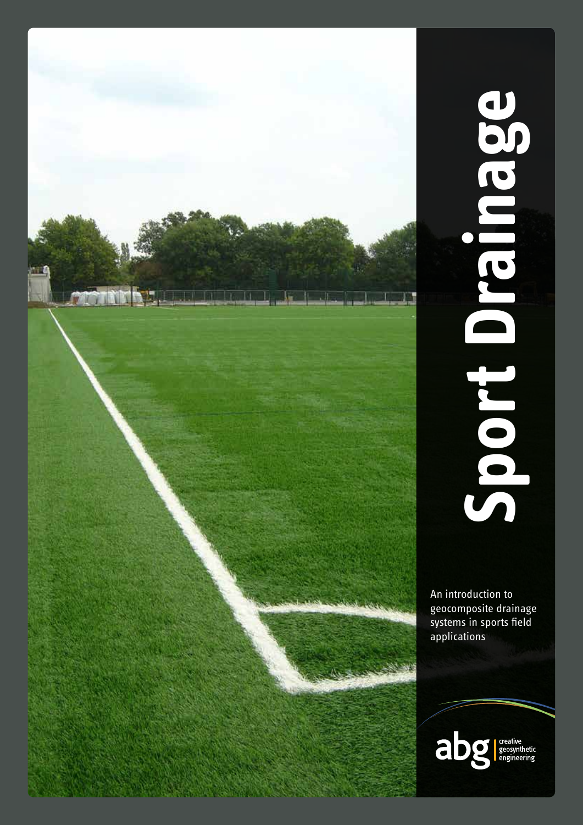

# Sport Drainage  **Sport Drainage**

An introduction to geocomposite drainage systems in sports field applications

abg

creative<br>geosynthetic<br>engineering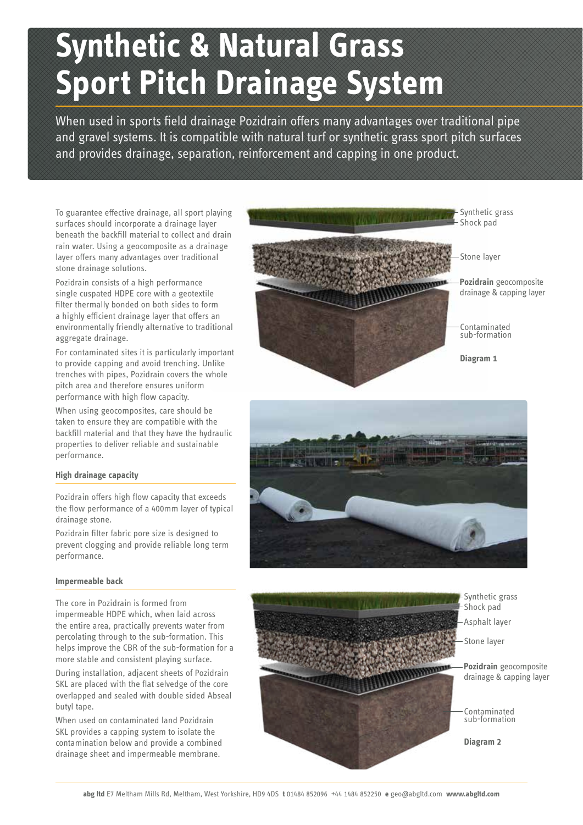# **Synthetic & Natural Grass Sport Pitch Drainage System**

When used in sports field drainage Pozidrain offers many advantages over traditional pipe and gravel systems. It is compatible with natural turf or synthetic grass sport pitch surfaces and provides drainage, separation, reinforcement and capping in one product.

To guarantee effective drainage, all sport playing surfaces should incorporate a drainage layer beneath the backfill material to collect and drain rain water. Using a geocomposite as a drainage layer offers many advantages over traditional stone drainage solutions.

Pozidrain consists of a high performance single cuspated HDPE core with a geotextile filter thermally bonded on both sides to form a highly efficient drainage layer that offers an environmentally friendly alternative to traditional aggregate drainage.

For contaminated sites it is particularly important to provide capping and avoid trenching. Unlike trenches with pipes, Pozidrain covers the whole pitch area and therefore ensures uniform performance with high flow capacity.

When using geocomposites, care should be taken to ensure they are compatible with the backfill material and that they have the hydraulic properties to deliver reliable and sustainable performance.

# **High drainage capacity**

Pozidrain offers high flow capacity that exceeds the flow performance of a 400mm layer of typical drainage stone.

Pozidrain filter fabric pore size is designed to prevent clogging and provide reliable long term performance.

### **Impermeable back**

The core in Pozidrain is formed from impermeable HDPE which, when laid across the entire area, practically prevents water from percolating through to the sub-formation. This helps improve the CBR of the sub-formation for a more stable and consistent playing surface.

During installation, adjacent sheets of Pozidrain SKL are placed with the flat selvedge of the core overlapped and sealed with double sided Abseal butyl tape.

When used on contaminated land Pozidrain SKL provides a capping system to isolate the contamination below and provide a combined drainage sheet and impermeable membrane.

Synthetic grass Shock pad

Stone layer

**Pozidrain** geocomposite drainage & capping layer

Contaminated sub-formation

**Diagram 1**





- Synthetic grass
- Shock pad
- Asphalt layer
- Stone layer

**Pozidrain** geocomposite drainage & capping layer

Contaminated sub-formation

**Diagram 2**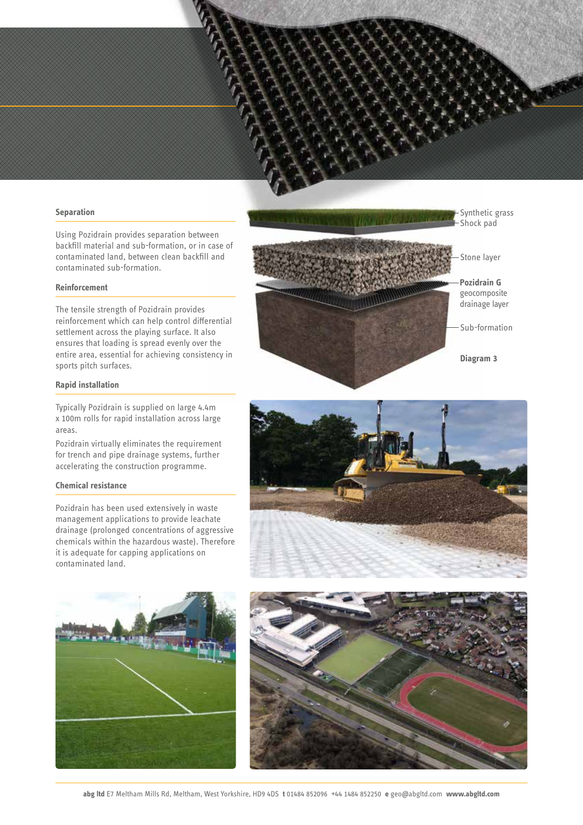### **Separation**

Using Pozidrain provides separation between backfill material and sub-formation, or in case of contaminated land, between clean backfill and contaminated sub-formation.

### **Reinforcement**

The tensile strength of Pozidrain provides reinforcement which can help control differential settlement across the playing surface. It also ensures that loading is spread evenly over the entire area, essential for achieving consistency in sports pitch surfaces.

### **Rapid installation**

Typically Pozidrain is supplied on large 4.4m x 100m rolls for rapid installation across large areas.

Pozidrain virtually eliminates the requirement for trench and pipe drainage systems, further accelerating the construction programme.

## **Chemical resistance**

Pozidrain has been used extensively in waste management applications to provide leachate drainage (prolonged concentrations of aggressive chemicals within the hazardous waste). Therefore it is adequate for capping applications on contaminated land.